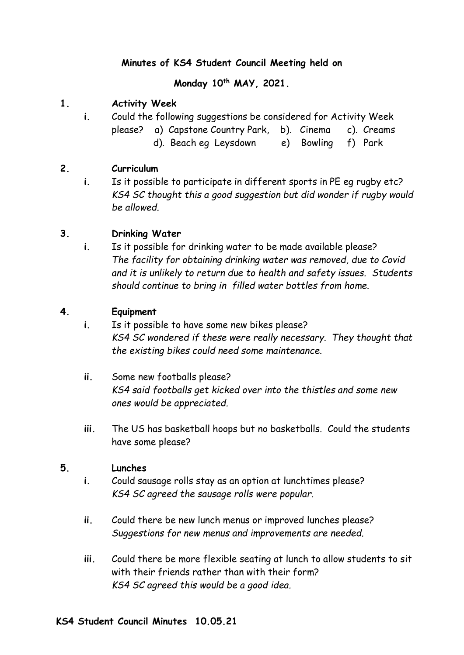## **Minutes of KS4 Student Council Meeting held on**

**Monday 10th MAY, 2021.**

## **1. Activity Week**

**i.** Could the following suggestions be considered for Activity Week please? a) Capstone Country Park, b). Cinema c). Creams d). Beach eg Leysdown e) Bowling f) Park

## **2. Curriculum**

**i.** Is it possible to participate in different sports in PE eg rugby etc? *KS4 SC thought this a good suggestion but did wonder if rugby would be allowed.*

## **3. Drinking Water**

**i.** Is it possible for drinking water to be made available please? *The facility for obtaining drinking water was removed, due to Covid and it is unlikely to return due to health and safety issues. Students should continue to bring in filled water bottles from home.*

### **4. Equipment**

- **i.** Is it possible to have some new bikes please? *KS4 SC wondered if these were really necessary. They thought that the existing bikes could need some maintenance.*
- **ii.** Some new footballs please? *KS4 said footballs get kicked over into the thistles and some new ones would be appreciated.*
- **iii.** The US has basketball hoops but no basketballs. Could the students have some please?

### **5. Lunches**

- **i.** Could sausage rolls stay as an option at lunchtimes please? *KS4 SC agreed the sausage rolls were popular.*
- **ii.** Could there be new lunch menus or improved lunches please? *Suggestions for new menus and improvements are needed.*
- **iii.** Could there be more flexible seating at lunch to allow students to sit with their friends rather than with their form? *KS4 SC agreed this would be a good idea.*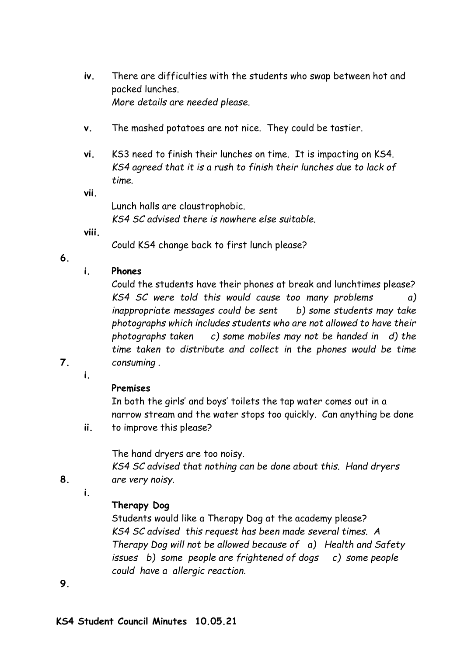- **iv.** There are difficulties with the students who swap between hot and packed lunches. *More details are needed please.*
- **v.** The mashed potatoes are not nice. They could be tastier.
- **vi.** KS3 need to finish their lunches on time. It is impacting on KS4. *KS4 agreed that it is a rush to finish their lunches due to lack of time.*

**vii.**

Lunch halls are claustrophobic. *KS4 SC advised there is nowhere else suitable.*

**viii.**

Could KS4 change back to first lunch please?

**6.**

## **i. Phones**

Could the students have their phones at break and lunchtimes please? *KS4 SC were told this would cause too many problems a) inappropriate messages could be sent b) some students may take photographs which includes students who are not allowed to have their photographs taken c) some mobiles may not be handed in d) the time taken to distribute and collect in the phones would be time consuming .*

**7.**

**i.**

# **Premises**

In both the girls' and boys' toilets the tap water comes out in a narrow stream and the water stops too quickly. Can anything be done

**ii.** to improve this please?

The hand dryers are too noisy.

*KS4 SC advised that nothing can be done about this. Hand dryers are very noisy.*

**i.**

**8.**

# **Therapy Dog**

Students would like a Therapy Dog at the academy please? *KS4 SC advised this request has been made several times. A Therapy Dog will not be allowed because of a) Health and Safety issues b) some people are frightened of dogs c) some people could have a allergic reaction.*

**9.**